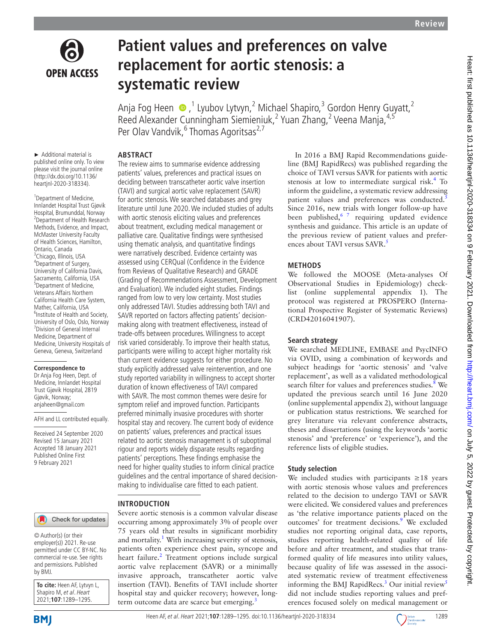

**OPEN ACCESS** 

# **Patient values and preferences on valve replacement for aortic stenosis: a systematic review**

Anja Fog Heen  $\bigcirc$  ,<sup>1</sup> Lyubov Lytvyn,<sup>2</sup> Michael Shapiro,<sup>3</sup> Gordon Henry Guyatt,<sup>2</sup> Reed Alexander Cunningham Siemieniuk,<sup>2</sup> Yuan Zhang,<sup>2</sup> Veena Manja,<sup>4,5</sup> Per Olav Vandvik,<sup>6</sup> Thomas Agoritsas<sup>2,7</sup>

► Additional material is published online only. To view please visit the journal online (http://dx.doi.org/10.1136/ heartjnl-2020-318334).

**ABSTRACT**

<sup>1</sup> Department of Medicine, Innlandet Hospital Trust Gjøvik Hospital, Brumunddal, Norway 2 Department of Health Research Methods, Evidence, and Impact, McMaster University Faculty of Health Sciences, Hamilton, Ontario, Canada <sup>3</sup>Chicago, Illinois, USA 4 Department of Surgery, University of California Davis, Sacramento, California, USA 5 Department of Medicine, Veterans Affairs Northern California Health Care System, Mather, California, USA 6 Institute of Health and Society, University of Oslo, Oslo, Norway 7 Division of General Internal Medicine, Department of Medicine, University Hospitals of Geneva, Geneva, Switzerland

#### **Correspondence to**

Dr Anja Fog Heen, Dept. of Medicine, Innlandet Hospital Trust Gjøvik Hospital, 2819 Gjøvik, Norway; anjaheen@gmail.com

AFH and LL contributed equally.

Received 24 September 2020 Revised 15 January 2021 Accepted 18 January 2021 Published Online First 9 February 2021

# Check for updates

© Author(s) (or their employer(s)) 2021. Re-use permitted under CC BY-NC. No commercial re-use. See rights and permissions. Published by BMJ.

**To cite:** Heen AF, Lytvyn L, Shapiro M, et al. Heart 2021;**107**:1289–1295.

The review aims to summarise evidence addressing patients' values, preferences and practical issues on deciding between transcatheter aortic valve insertion (TAVI) and surgical aortic valve replacement (SAVR) for aortic stenosis. We searched databases and grey literature until June 2020. We included studies of adults with aortic stenosis eliciting values and preferences about treatment, excluding medical management or palliative care. Qualitative findings were synthesised using thematic analysis, and quantitative findings were narratively described. Evidence certainty was assessed using CERQual (Confidence in the Evidence from Reviews of Qualitative Research) and GRADE (Grading of Recommendations Assessment, Development and Evaluation). We included eight studies. Findings ranged from low to very low certainty. Most studies only addressed TAVI. Studies addressing both TAVI and SAVR reported on factors affecting patients' decisionmaking along with treatment effectiveness, instead of trade-offs between procedures. Willingness to accept risk varied considerably. To improve their health status, participants were willing to accept higher mortality risk than current evidence suggests for either procedure. No study explicitly addressed valve reintervention, and one study reported variability in willingness to accept shorter duration of known effectiveness of TAVI compared with SAVR. The most common themes were desire for symptom relief and improved function. Participants preferred minimally invasive procedures with shorter hospital stay and recovery. The current body of evidence on patients' values, preferences and practical issues related to aortic stenosis management is of suboptimal rigour and reports widely disparate results regarding patients' perceptions. These findings emphasise the need for higher quality studies to inform clinical practice guidelines and the central importance of shared decisionmaking to individualise care fitted to each patient.

# **INTRODUCTION**

Severe aortic stenosis is a common valvular disease occurring among approximately 3% of people over 75 years old that results in significant morbidity and mortality.<sup>[1](#page-5-0)</sup> With increasing severity of stenosis, patients often experience chest pain, syncope and heart failure.<sup>2</sup> Treatment options include surgical aortic valve replacement (SAVR) or a minimally invasive approach, transcatheter aortic valve insertion (TAVI). Benefits of TAVI include shorter hospital stay and quicker recovery; however, longterm outcome data are scarce but emerging.<sup>3</sup>

In 2016 a BMJ Rapid Recommendations guideline (BMJ RapidRecs) was published regarding the choice of TAVI versus SAVR for patients with aortic stenosis at low to intermediate surgical risk.<sup>[4](#page-6-1)</sup> To inform the guideline, a systematic review addressing patient values and preferences was conducted.<sup>[5](#page-6-2)</sup> Since 2016, new trials with longer follow-up have been published,  $67$  requiring updated evidence synthesis and guidance. This article is an update of the previous review of patient values and prefer-ences about TAVI versus SAVR.<sup>[5](#page-6-2)</sup>

# **METHODS**

We followed the MOOSE (Meta-analyses Of Observational Studies in Epidemiology) checklist [\(online supplemental appendix 1](https://dx.doi.org/10.1136/heartjnl-2020-318334)). The protocol was registered at PROSPERO (International Prospective Register of Systematic Reviews) (CRD42016041907).

# **Search strategy**

We searched MEDLINE, EMBASE and PsycINFO via OVID, using a combination of keywords and subject headings for 'aortic stenosis' and 'valve replacement', as well as a validated methodological search filter for values and preferences studies.<sup>8</sup> We updated the previous search until 16 June 2020 ([online supplemental appendix 2](https://dx.doi.org/10.1136/heartjnl-2020-318334)), without language or publication status restrictions. We searched for grey literature via relevant conference abstracts, theses and dissertations (using the keywords 'aortic stenosis' and 'preference' or 'experience'), and the reference lists of eligible studies.

# **Study selection**

Heen AF, et al. Heart 2021;**107**:1289–1295. doi:10.1136/heartjnl-2020-3183341289

We included studies with participants ≥18 years with aortic stenosis whose values and preferences related to the decision to undergo TAVI or SAVR were elicited. We considered values and preferences as 'the relative importance patients placed on the outcomes' for treatment decisions.<sup>[9](#page-6-5)</sup> We excluded studies not reporting original data, case reports, studies reporting health-related quality of life before and after treatment, and studies that transformed quality of life measures into utility values, because quality of life was assessed in the associated systematic review of treatment effectiveness informing the BMJ RapidRecs.<sup>3</sup> Our initial review<sup>[5](#page-6-2)</sup> did not include studies reporting values and preferences focused solely on medical management or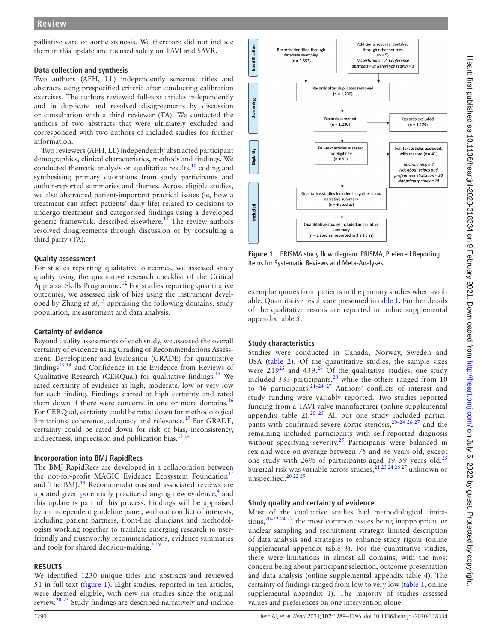palliative care of aortic stenosis. We therefore did not include them in this update and focused solely on TAVI and SAVR.

## **Data collection and synthesis**

Two authors (AFH, LL) independently screened titles and abstracts using prespecified criteria after conducting calibration exercises. The authors reviewed full-text articles independently and in duplicate and resolved disagreements by discussion or consultation with a third reviewer (TA). We contacted the authors of two abstracts that were ultimately excluded and corresponded with two authors of included studies for further information.

Two reviewers (AFH, LL) independently abstracted participant demographics, clinical characteristics, methods and findings. We conducted thematic analysis on qualitative results,<sup>10</sup> coding and synthesising primary quotations from study participants and author-reported summaries and themes. Across eligible studies, we also abstracted patient-important practical issues (ie, how a treatment can affect patients' daily life) related to decisions to undergo treatment and categorised findings using a developed generic framework, described elsewhere.<sup>[11](#page-6-7)</sup> The review authors resolved disagreements through discussion or by consulting a third party (TA).

# **Quality assessment**

For studies reporting qualitative outcomes, we assessed study quality using the qualitative research checklist of the Critical Appraisal Skills Programme.[12](#page-6-8) For studies reporting quantitative outcomes, we assessed risk of bias using the instrument developed by Zhang *et al*, [13](#page-6-9) appraising the following domains: study population, measurement and data analysis.

# **Certainty of evidence**

Beyond quality assessments of each study, we assessed the overall certainty of evidence using Grading of Recommendations Assessment, Development and Evaluation (GRADE) for quantitative findings[13 14](#page-6-9) and Confidence in the Evidence from Reviews of Qualitative Research (CERQual) for qualitative findings.[15](#page-6-10) We rated certainty of evidence as high, moderate, low or very low for each finding. Findings started at high certainty and rated them down if there were concerns in one or more domains.<sup>[16](#page-6-11)</sup> For CERQual, certainty could be rated down for methodological limitations, coherence, adequacy and relevance.<sup>[15](#page-6-10)</sup> For GRADE, certainty could be rated down for risk of bias, inconsistency, indirectness, imprecision and publication bias. $^{13}$  14

#### **Incorporation into BMJ RapidRecs**

The BMJ RapidRecs are developed in a collaboration between the not-for-profit MAGIC Evidence Ecosystem Foundation<sup>[17](#page-6-12)</sup> and The BMJ.<sup>18</sup> Recommendations and associated reviews are updated given potentially practice-changing new evidence,<sup>4</sup> and this update is part of this process. Findings will be appraised by an independent guideline panel, without conflict of interests, including patient partners, front-line clinicians and methodologists working together to translate emerging research to userfriendly and trustworthy recommendations, evidence summaries and tools for shared decision-making.<sup>419</sup>

# **RESULTS**

We identified 1230 unique titles and abstracts and reviewed 51 in full text ([figure](#page-1-0) 1). Eight studies, reported in ten articles, were deemed eligible, with new six studies since the original review. $20-25$  Study findings are described narratively and include



<span id="page-1-0"></span>**Figure 1** PRISMA study flow diagram. PRISMA, Preferred Reporting Items for Systematic Reviews and Meta-Analyses.

exemplar quotes from patients in the primary studies when available. Quantitative results are presented in [table](#page-2-0) 1. Further details of the qualitative results are reported in [online supplemental](https://dx.doi.org/10.1136/heartjnl-2020-318334) [appendix table 5](https://dx.doi.org/10.1136/heartjnl-2020-318334).

# **Study characteristics**

Studies were conducted in Canada, Norway, Sweden and USA [\(table](#page-3-0) 2). Of the quantitative studies, the sample sizes were  $219^{25}$  and  $439^{26}$  $439^{26}$  $439^{26}$  Of the qualitative studies, one study included 333 participants,<sup>[20](#page-6-14)</sup> while the others ranged from  $10$ to 46 participants. $2^{1-24}$   $2^7$  Authors' conflicts of interest and study funding were variably reported. Two studies reported funding from a TAVI valve manufacturer ([online supplemental](https://dx.doi.org/10.1136/heartjnl-2020-318334) [appendix table 2\)](https://dx.doi.org/10.1136/heartjnl-2020-318334). $20^{20}$  25 All but one study included participants with confirmed severe aortic stenosis,  $20-24$   $26$   $27$  and the remaining included participants with self-reported diagnosis without specifying severity.<sup>25</sup> Participants were balanced in sex and were on average between 75 and 86 years old, except one study with 26% of participants aged 19-59 years old.<sup>[25](#page-6-15)</sup> Surgical risk was variable across studies,<sup>21 23 24 26 27</sup> unknown or unspecified.<sup>20</sup> <sup>22</sup> <sup>25</sup>

# **Study quality and certainty of evidence**

Most of the qualitative studies had methodological limitations,<sup>20-22 24 27</sup> the most common issues being inappropriate or unclear sampling and recruitment strategy, limited description of data analysis and strategies to enhance study rigour [\(online](https://dx.doi.org/10.1136/heartjnl-2020-318334) [supplemental appendix table 3](https://dx.doi.org/10.1136/heartjnl-2020-318334)). For the quantitative studies, there were limitations in almost all domains, with the most concern being about participant selection, outcome presentation and data analysis [\(online supplemental appendix table 4](https://dx.doi.org/10.1136/heartjnl-2020-318334)). The certainty of findings ranged from low to very low ([table](#page-2-0) 1, [online](https://dx.doi.org/10.1136/heartjnl-2020-318334) [supplemental appendix 1](https://dx.doi.org/10.1136/heartjnl-2020-318334)). The majority of studies assessed values and preferences on one intervention alone.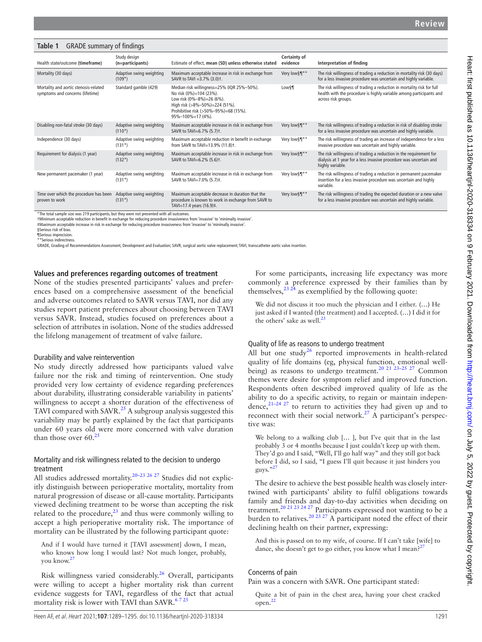<span id="page-2-0"></span>

| <b>GRADE</b> summary of findings<br>Table 1                               |                                      |                                                                                                                                                                                                    |                                 |                                                                                                                                                                      |  |  |  |  |  |  |  |
|---------------------------------------------------------------------------|--------------------------------------|----------------------------------------------------------------------------------------------------------------------------------------------------------------------------------------------------|---------------------------------|----------------------------------------------------------------------------------------------------------------------------------------------------------------------|--|--|--|--|--|--|--|
| Health state/outcome (timeframe)                                          | Study design<br>(n=participants)     | Estimate of effect, mean (SD) unless otherwise stated                                                                                                                                              | <b>Certainty of</b><br>evidence | Interpretation of finding                                                                                                                                            |  |  |  |  |  |  |  |
| Mortality (30 days)                                                       | Adaptive swing weighting<br>$(109*)$ | Maximum acceptable increase in risk in exchange from<br>SAVR to TAVI = $3.7\%$ (3.0) <sup>†</sup> .                                                                                                | Very low§¶**                    | The risk willingness of trading a reduction in mortality risk (30 days)<br>for a less invasive procedure was uncertain and highly variable.                          |  |  |  |  |  |  |  |
| Mortality and aortic stenosis-related<br>symptoms and concerns (lifetime) | Standard gamble (429)                | Median risk willingness=25% (IQR 25%-50%).<br>No risk (0%)=104 (23%).<br>Low risk (0%-8%)=26 (6%).<br>High risk (>8%-50%)=224 (51%).<br>Prohibitive risk (>50%-95%)=68 (15%).<br>95%-100%=17 (4%). | Low <sup>§¶</sup>               | The risk willingness of trading a reduction in mortality risk for full<br>health with the procedure is highly variable among participants and<br>across risk groups. |  |  |  |  |  |  |  |
| Disabling non-fatal stroke (30 days)                                      | Adaptive swing weighting<br>$(110*)$ | Maximum acceptable increase in risk in exchange from<br>SAVR to TAVI=6.7% (5.7)+.                                                                                                                  | Very low§¶**                    | The risk willingness of trading a reduction in risk of disabling stroke<br>for a less invasive procedure was uncertain and highly variable.                          |  |  |  |  |  |  |  |
| Independence (30 days)                                                    | Adaptive swing weighting<br>$(131*)$ | Maximum acceptable reduction in benefit in exchange<br>from SAVR to TAVI=13.9% (11.8)t.                                                                                                            | Very low§¶**                    | The risk willingness of trading an increase of independence for a less<br>invasive procedure was uncertain and highly variable.                                      |  |  |  |  |  |  |  |
| Requirement for dialysis (1 year)                                         | Adaptive swing weighting<br>$(132*)$ | Maximum acceptable increase in risk in exchange from<br>SAVR to TAVI=6.2% (5.6)t.                                                                                                                  | Very low§¶**                    | The risk willingness of trading a reduction in the requirement for<br>dialysis at 1 year for a less invasive procedure was uncertain and<br>highly variable.         |  |  |  |  |  |  |  |
| New permanent pacemaker (1 year)                                          | Adaptive swing weighting<br>$(131*)$ | Maximum acceptable increase in risk in exchange from<br>SAVR to TAVI=7.0% (5.7)‡.                                                                                                                  | Very low§¶**                    | The risk willingness of trading a reduction in permanent pacemaker<br>insertion for a less invasive procedure was uncertain and highly<br>variable.                  |  |  |  |  |  |  |  |
| Time over which the procedure has been<br>proven to work                  | Adaptive swing weighting<br>$(131*)$ | Maximum acceptable decrease in duration that the<br>procedure is known to work in exchange from SAVR to<br>TAVI=17.4 years (16.9)‡.                                                                | Very low§¶**                    | The risk willingness of trading the expected duration or a new valve<br>for a less invasive procedure was uncertain and highly variable.                             |  |  |  |  |  |  |  |

\*The total sample size was 219 participants, but they were not presented with all outcomes. †Minimum acceptable reduction in benefit in exchange for reducing procedure invasiveness from 'invasive' to 'minimally invasive'.

‡Maximum acceptable increase in risk in exchange for reducing procedure invasiveness from 'invasive' to 'minimally invasive'.

§Serious risk of bias.

¶Serious imprecision.

\*\*Serious indirectness.

GRADE, Grading of Recommendations Assessment, Development and Evaluation; SAVR, surgical aortic valve replacement; TAVI, transcatheter aortic valve insertion.

#### **Values and preferences regarding outcomes of treatment**

None of the studies presented participants' values and preferences based on a comprehensive assessment of the beneficial and adverse outcomes related to SAVR versus TAVI, nor did any studies report patient preferences about choosing between TAVI versus SAVR. Instead, studies focused on preferences about a selection of attributes in isolation. None of the studies addressed the lifelong management of treatment of valve failure.

#### Durability and valve reintervention

No study directly addressed how participants valued valve failure nor the risk and timing of reintervention. One study provided very low certainty of evidence regarding preferences about durability, illustrating considerable variability in patients' willingness to accept a shorter duration of the effectiveness of TAVI compared with SAVR.<sup>25</sup> A subgroup analysis suggested this variability may be partly explained by the fact that participants under 60 years old were more concerned with valve duration than those over  $60.^{25}$  $60.^{25}$  $60.^{25}$ 

## Mortality and risk willingness related to the decision to undergo treatment

All studies addressed mortality.<sup>20–23 26 27</sup> Studies did not explicitly distinguish between perioperative mortality, mortality from natural progression of disease or all-cause mortality. Participants viewed declining treatment to be worse than accepting the risk related to the procedure, $^{23}$  $^{23}$  $^{23}$  and thus were commonly willing to accept a high perioperative mortality risk. The importance of mortality can be illustrated by the following participant quote:

And if I would have turned it [TAVI assessment] down, I mean, who knows how long I would last? Not much longer, probably, you know.<sup>2</sup>

Risk willingness varied considerably.[26](#page-6-16) Overall, participants were willing to accept a higher mortality risk than current evidence suggests for TAVI, regardless of the fact that actual mortality risk is lower with TAVI than SAVR. $6725$ 

For some participants, increasing life expectancy was more commonly a preference expressed by their families than by themselves,  $^{23}$   $^{24}$  as exemplified by the following quote:

We did not discuss it too much the physician and I either. (…) He just asked if I wanted (the treatment) and I accepted. (…) I did it for the others' sake as well.<sup>[23](#page-6-18)</sup>

#### Quality of life as reasons to undergo treatment

All but one study<sup>26</sup> reported improvements in health-related quality of life domains (eg, physical function, emotional wellbeing) as reasons to undergo treatment.<sup>20 21 23–25 27</sup> Common themes were desire for symptom relief and improved function. Respondents often described improved quality of life as the ability to do a specific activity, to regain or maintain independence,[21–24 27](#page-6-17) to return to activities they had given up and to reconnect with their social network.<sup>27</sup> A participant's perspective was:

We belong to a walking club [… ], but I've quit that in the last probably 3 or 4 months because I just couldn't keep up with them. They'd go and I said, "Well, I'll go half way" and they still got back before I did, so I said, "I guess I'll quit because it just hinders you guys."[27](#page-6-19)

The desire to achieve the best possible health was closely intertwined with participants' ability to fulfil obligations towards family and friends and day-to-day activities when deciding on treatment.<sup>20 21 23 24 27</sup> Participants expressed not wanting to be a burden to relatives.<sup>[20 23 27](#page-6-14)</sup> A participant noted the effect of their declining health on their partner, expressing:

And this is passed on to my wife, of course. If I can't take [wife] to dance, she doesn't get to go either, you know what I mean?<sup>27</sup>

#### Concerns of pain

Pain was a concern with SAVR. One participant stated:

Quite a bit of pain in the chest area, having your chest cracked open.[22](#page-6-20)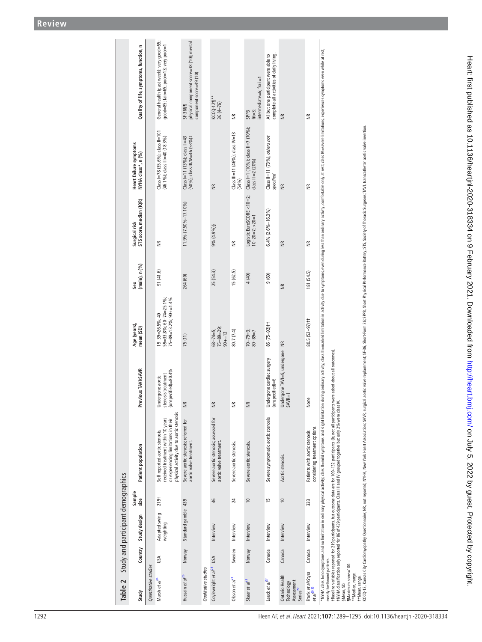$\overline{a}$ 

<span id="page-3-0"></span>

|                                    | Quality of life, symptoms, function, n      |                      | General health (past week): very good=55;<br>good=85; fair=65; poor=13; very poor=1                                                                       | physical component score=38 (10); mental<br>component score=49 (10)<br>SF-36§¶ |                     | $KCCQ-12\P^{**}$<br>36 (4-76)                                   |                                                               | intermediate=6; frail=1<br>$fit=3;$<br>SPPB                  | complete all activities of daily living.<br>All but one participant were able to |                                                                    |                                                                 |                                                                                                                                                                                                                                                                                                                                                                                                                                                                                                                                                                                                                                                        |
|------------------------------------|---------------------------------------------|----------------------|-----------------------------------------------------------------------------------------------------------------------------------------------------------|--------------------------------------------------------------------------------|---------------------|-----------------------------------------------------------------|---------------------------------------------------------------|--------------------------------------------------------------|----------------------------------------------------------------------------------|--------------------------------------------------------------------|-----------------------------------------------------------------|--------------------------------------------------------------------------------------------------------------------------------------------------------------------------------------------------------------------------------------------------------------------------------------------------------------------------------------------------------------------------------------------------------------------------------------------------------------------------------------------------------------------------------------------------------------------------------------------------------------------------------------------------------|
|                                    | Heart failure symptoms<br>NYHA dass*, n (%) |                      | $Class = 78 (35.6\%); class = 101$<br>(46.1%); class III=40 (18.3%)                                                                                       | (50%); class III/IV=46 (53%)#<br>Class I=11 (13%); class II=43                 |                     | $\widetilde{\equiv}$                                            | $\widetilde{\Xi}$<br>Class III=11 (46%); class IV=13<br>(54%) | Class I=1 (10%); class II=7 (70%);<br>class $III = 2 (20\%)$ | Class II=11 (73%), others not<br>specified                                       | $\widetilde{\Xi}$<br>$\widetilde{\Xi}$                             | $\widetilde{\Xi}$<br>$\widetilde{\Xi}$                          | during ordinary activity; class III=marked limitation in activity due to symptoms, even during less than ordinary activity, comfortable only at rest; class IV=severe limitations, experiences symptoms even while at rest,                                                                                                                                                                                                                                                                                                                                                                                                                            |
|                                    | Surgical risk<br>STS score, median (IQR)    |                      | $\widetilde{\Xi}$                                                                                                                                         | 11.9% (7.50%-17.10%)                                                           |                     | 9% (4.9%) §                                                     | $\widetilde{\equiv}$                                          | Logistic EuroSCORE <10=2;<br>$10-20=7$ ; $>20=1$             | $6.4\%$ $(2.6\% - 16.3\%)$                                                       | $\frac{1}{2}$                                                      | $\widetilde{\Xi}$                                               |                                                                                                                                                                                                                                                                                                                                                                                                                                                                                                                                                                                                                                                        |
|                                    | Sex<br>(male), n (%)                        |                      | 91(41.6)                                                                                                                                                  | 264 (60)                                                                       |                     | 25 (54.3)                                                       | 15 (62.5)                                                     | 4 (40)                                                       | 9 (60)                                                                           | $\widetilde{\Xi}$                                                  | 181 (54.5)                                                      |                                                                                                                                                                                                                                                                                                                                                                                                                                                                                                                                                                                                                                                        |
|                                    | Age (years)<br>mean (SD)                    |                      | 59=33.8%; 60-74=25.1%;<br>$75 - 89 = 13.2\%$ ; 90 + = 1.4%<br>$19 - 39 = 26.5\%$ ; 40-                                                                    | 75(11)                                                                         |                     | $75 - 89 = 29$ ;<br>$68 - 74 = 5$ ;<br>$90 + 12$                | 80.7 (7.4)                                                    | $70 - 79 = 3;$<br>$80 - 89 = 7$                              | 86 (75-92) †                                                                     | $\widetilde{\Xi}$                                                  | $80.5(52-97)$ ††                                                |                                                                                                                                                                                                                                                                                                                                                                                                                                                                                                                                                                                                                                                        |
|                                    | Previous TAVI/SAVR                          |                      | Undergone aortic<br>stenosis treatment<br>(unspecified)=80.4%                                                                                             | $\widetilde{\Xi}$                                                              |                     | €                                                               | $\frac{\alpha}{\alpha}$                                       | $\widetilde{\Xi}$                                            | Undergone cardiac surgery<br>$(unspecified) = 6$                                 | Undergone TAVI=9, undergone<br>SAVR=1                              | None                                                            |                                                                                                                                                                                                                                                                                                                                                                                                                                                                                                                                                                                                                                                        |
|                                    | Patient population                          |                      | physical activity due to aortic stenosis.<br>received treatment within 10 years<br>or experiencing limitations in their<br>Self-reported aortic stenosis; | Severe aortic stenosis; referred for<br>aortic valve treatment.                |                     | Severe aortic stenosis; assessed for<br>aortic valve treatment. | Severe aortic stenosis.                                       | Severe aortic stenosis.                                      | Severe symptomatic aortic stenosis.                                              | Aortic stenosis.                                                   | considering treatment options.<br>Patients with aortic stenosis | KCCQ-12. Kansas City Gardiomyopathy Questionnine; NR, not reported; NYHA, New York Heart Association; SAVR, surgical antic soles Physical Performance Battery; STS, Society of Thoracic Surgeons; TAVI, transcathere and tic v<br>tBaseline variables reported for 219 participants, but outcome data are for 109-132 participants (ie, not all participants were asked about all outcomes).<br>#NYHA classification only reported for 86 of 439 participants. Class III and IV grouped together but only 2% were class IV.<br>"NYHA class I=no symptoms and no limitation in ordinary physical activity; class II=mild symptoms and slight limitation |
|                                    | Sample<br>size                              |                      | 219 <sup>†</sup>                                                                                                                                          |                                                                                |                     | 46                                                              | 24                                                            | $\approx$                                                    | ίņ                                                                               | $\approx$                                                          | 333                                                             |                                                                                                                                                                                                                                                                                                                                                                                                                                                                                                                                                                                                                                                        |
| Study and participant demographics | Study design                                |                      | Adapted swing<br>weighting                                                                                                                                | Standard gamble 439                                                            |                     | Interview                                                       | Interview                                                     | Interview                                                    | Interview                                                                        | Interview                                                          | Interview                                                       |                                                                                                                                                                                                                                                                                                                                                                                                                                                                                                                                                                                                                                                        |
|                                    | Country                                     |                      | USA                                                                                                                                                       | Norway                                                                         |                     |                                                                 | Sweden                                                        | Norway                                                       | Canada                                                                           | Canada                                                             | Canada                                                          |                                                                                                                                                                                                                                                                                                                                                                                                                                                                                                                                                                                                                                                        |
| Table 2                            | Study                                       | Quantitative studies | Marsh et al <sup>34</sup>                                                                                                                                 | Hussain et al <sup>26</sup>                                                    | Qualitative studies | Coylewright et al <sup>24</sup> USA                             | Olsson et $ap1$                                               | Skaar et al <sup>23</sup>                                    | Lauck et al $l^2$                                                                | Ontario Health<br>Assessment<br>Technology<br>Series <sup>22</sup> | Frank et al/Styra<br>et al $^{2035}$                            | mostly bedbound patients.<br><b>Maximum</b> score=100<br>**Median, range.<br>ttMean, range.<br>§Mean, SD.                                                                                                                                                                                                                                                                                                                                                                                                                                                                                                                                              |

l,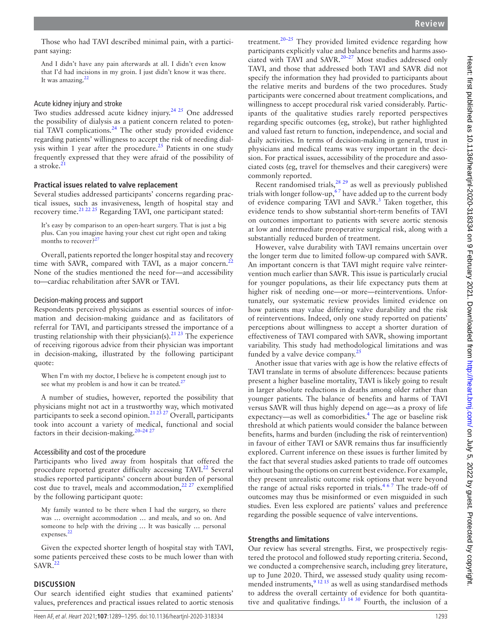Those who had TAVI described minimal pain, with a participant saying:

And I didn't have any pain afterwards at all. I didn't even know that I'd had incisions in my groin. I just didn't know it was there. It was amazing. $22$ 

## Acute kidney injury and stroke

Two studies addressed acute kidney injury.<sup>24 25</sup> One addressed the possibility of dialysis as a patient concern related to potential TAVI complications. $^{24}$  The other study provided evidence regarding patients' willingness to accept the risk of needing dialysis within 1 year after the procedure.<sup>25</sup> Patients in one study frequently expressed that they were afraid of the possibility of a stroke. $^{21}$  $^{21}$  $^{21}$ 

#### **Practical issues related to valve replacement**

Several studies addressed participants' concerns regarding practical issues, such as invasiveness, length of hospital stay and recovery time.<sup>[21 22 25](#page-6-17)</sup> Regarding TAVI, one participant stated:

It's easy by comparison to an open-heart surgery. That is just a big plus. Can you imagine having your chest cut right open and taking months to recover?<sup>[27](#page-6-19)</sup>

Overall, patients reported the longer hospital stay and recovery time with SAVR, compared with TAVI, as a major concern.<sup>[22](#page-6-20)</sup> None of the studies mentioned the need for—and accessibility to—cardiac rehabilitation after SAVR or TAVI.

#### Decision-making process and support

Respondents perceived physicians as essential sources of information and decision-making guidance and as facilitators of referral for TAVI, and participants stressed the importance of a trusting relationship with their physician(s).<sup>21 23</sup> The experience of receiving rigorous advice from their physician was important in decision-making, illustrated by the following participant quote:

When I'm with my doctor, I believe he is competent enough just to see what my problem is and how it can be treated.<sup>2</sup>

A number of studies, however, reported the possibility that physicians might not act in a trustworthy way, which motivated participants to seek a second opinion.<sup>[21 23 27](#page-6-17)</sup> Overall, participants took into account a variety of medical, functional and social factors in their decision-making.<sup>20-24 2</sup>

#### Accessibility and cost of the procedure

Participants who lived away from hospitals that offered the procedure reported greater difficulty accessing TAVI.<sup>22</sup> Several studies reported participants' concern about burden of personal cost due to travel, meals and accommodation, $22 27$  exemplified by the following participant quote:

My family wanted to be there when I had the surgery, so there was … overnight accommodation … and meals, and so on. And someone to help with the driving … It was basically … personal expenses.<sup>[22](#page-6-20)</sup>

Given the expected shorter length of hospital stay with TAVI, some patients perceived these costs to be much lower than with  $SAVR.<sup>22</sup>$  $SAVR.<sup>22</sup>$  $SAVR.<sup>22</sup>$ 

#### **DISCUSSION**

Our search identified eight studies that examined patients' values, preferences and practical issues related to aortic stenosis

treatment.<sup>20–25</sup> They provided limited evidence regarding how participants explicitly value and balance benefits and harms associated with TAVI and SAVR[.20–27](#page-6-14) Most studies addressed only TAVI, and those that addressed both TAVI and SAVR did not specify the information they had provided to participants about the relative merits and burdens of the two procedures. Study participants were concerned about treatment complications, and willingness to accept procedural risk varied considerably. Participants of the qualitative studies rarely reported perspectives regarding specific outcomes (eg, stroke), but rather highlighted and valued fast return to function, independence, and social and daily activities. In terms of decision-making in general, trust in physicians and medical teams was very important in the decision. For practical issues, accessibility of the procedure and associated costs (eg, travel for themselves and their caregivers) were commonly reported.

Recent randomised trials, $28 \times 29$  as well as previously published trials with longer follow-up,  $67$  have added up to the current body of evidence comparing TAVI and SAVR.<sup>[3](#page-6-0)</sup> Taken together, this evidence tends to show substantial short-term benefits of TAVI on outcomes important to patients with severe aortic stenosis at low and intermediate preoperative surgical risk, along with a substantially reduced burden of treatment.

However, valve durability with TAVI remains uncertain over the longer term due to limited follow-up compared with SAVR. An important concern is that TAVI might require valve reintervention much earlier than SAVR. This issue is particularly crucial for younger populations, as their life expectancy puts them at higher risk of needing one—or more—reinterventions. Unfortunately, our systematic review provides limited evidence on how patients may value differing valve durability and the risk of reinterventions. Indeed, only one study reported on patients' perceptions about willingness to accept a shorter duration of effectiveness of TAVI compared with SAVR, showing important variability. This study had methodological limitations and was funded by a valve device company.<sup>25</sup>

Another issue that varies with age is how the relative effects of TAVI translate in terms of absolute differences: because patients present a higher baseline mortality, TAVI is likely going to result in larger absolute reductions in deaths among older rather than younger patients. The balance of benefits and harms of TAVI versus SAVR will thus highly depend on age—as a proxy of life expectancy—as well as comorbidities.<sup>[4](#page-6-1)</sup> The age or baseline risk threshold at which patients would consider the balance between benefits, harms and burden (including the risk of reintervention) in favour of either TAVI or SAVR remains thus far insufficiently explored. Current inference on these issues is further limited by the fact that several studies asked patients to trade off outcomes without basing the options on current best evidence. For example, they present unrealistic outcome risk options that were beyond the range of actual risks reported in trials. $467$  The trade-off of outcomes may thus be misinformed or even misguided in such studies. Even less explored are patients' values and preference regarding the possible sequence of valve interventions.

#### **Strengths and limitations**

Our review has several strengths. First, we prospectively registered the protocol and followed study reporting criteria. Second, we conducted a comprehensive search, including grey literature, up to June 2020. Third, we assessed study quality using recom-mended instruments,<sup>[9 12 15](#page-6-5)</sup> as well as using standardised methods to address the overall certainty of evidence for both quantitative and qualitative findings.<sup>13 14 30</sup> Fourth, the inclusion of a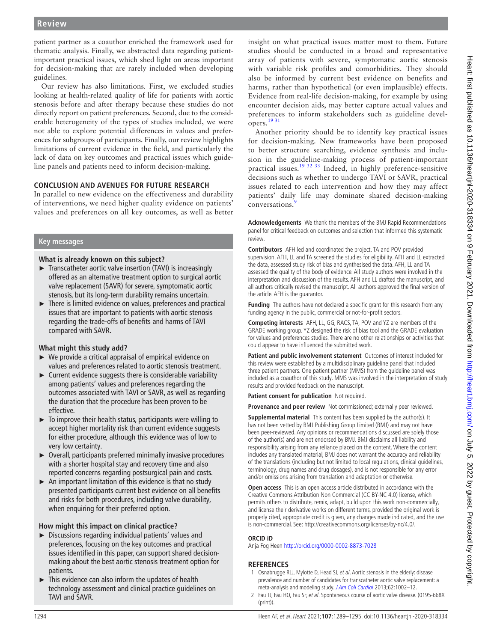patient partner as a coauthor enriched the framework used for thematic analysis. Finally, we abstracted data regarding patientimportant practical issues, which shed light on areas important for decision-making that are rarely included when developing guidelines.

Our review has also limitations. First, we excluded studies looking at health-related quality of life for patients with aortic stenosis before and after therapy because these studies do not directly report on patient preferences. Second, due to the considerable heterogeneity of the types of studies included, we were not able to explore potential differences in values and preferences for subgroups of participants. Finally, our review highlights limitations of current evidence in the field, and particularly the lack of data on key outcomes and practical issues which guideline panels and patients need to inform decision-making.

# **CONCLUSION AND AVENUES FOR FUTURE RESEARCH**

In parallel to new evidence on the effectiveness and durability of interventions, we need higher quality evidence on patients' values and preferences on all key outcomes, as well as better

# **Key messages**

# **What is already known on this subject?**

- ► Transcatheter aortic valve insertion (TAVI) is increasingly offered as an alternative treatment option to surgical aortic valve replacement (SAVR) for severe, symptomatic aortic stenosis, but its long-term durability remains uncertain.
- ► There is limited evidence on values, preferences and practical issues that are important to patients with aortic stenosis regarding the trade-offs of benefits and harms of TAVI compared with SAVR.

# **What might this study add?**

- ► We provide a critical appraisal of empirical evidence on values and preferences related to aortic stenosis treatment.
- ► Current evidence suggests there is considerable variability among patients' values and preferences regarding the outcomes associated with TAVI or SAVR, as well as regarding the duration that the procedure has been proven to be effective.
- $\blacktriangleright$  To improve their health status, participants were willing to accept higher mortality risk than current evidence suggests for either procedure, although this evidence was of low to very low certainty.
- ► Overall, participants preferred minimally invasive procedures with a shorter hospital stay and recovery time and also reported concerns regarding postsurgical pain and costs.
- $\triangleright$  An important limitation of this evidence is that no study presented participants current best evidence on all benefits and risks for both procedures, including valve durability, when enquiring for their preferred option.

# **How might this impact on clinical practice?**

- ► Discussions regarding individual patients' values and preferences, focusing on the key outcomes and practical issues identified in this paper, can support shared decisionmaking about the best aortic stenosis treatment option for patients.
- This evidence can also inform the updates of health technology assessment and clinical practice guidelines on TAVI and SAVR.

insight on what practical issues matter most to them. Future studies should be conducted in a broad and representative array of patients with severe, symptomatic aortic stenosis with variable risk profiles and comorbidities. They should also be informed by current best evidence on benefits and harms, rather than hypothetical (or even implausible) effects. Evidence from real-life decision-making, for example by using encounter decision aids, may better capture actual values and preferences to inform stakeholders such as guideline developers.[19 31](#page-6-24)

Another priority should be to identify key practical issues for decision-making. New frameworks have been proposed to better structure searching, evidence synthesis and inclusion in the guideline-making process of patient-important practical issues.[19 32 33](#page-6-24) Indeed, in highly preference-sensitive decisions such as whether to undergo TAVI or SAVR, practical issues related to each intervention and how they may affect patients' daily life may dominate shared decision-making conversations.<sup>[9](#page-6-5)</sup>

**Acknowledgements** We thank the members of the BMJ Rapid Recommendations panel for critical feedback on outcomes and selection that informed this systematic review.

**Contributors** AFH led and coordinated the project. TA and POV provided supervision. AFH, LL and TA screened the studies for eligibility. AFH and LL extracted the data, assessed study risk of bias and synthesised the data. AFH, LL and TA assessed the quality of the body of evidence. All study authors were involved in the interpretation and discussion of the results. AFH and LL drafted the manuscript, and all authors critically revised the manuscript. All authors approved the final version of the article. AFH is the guarantor.

**Funding** The authors have not declared a specific grant for this research from any funding agency in the public, commercial or not-for-profit sectors.

**Competing interests** AFH, LL, GG, RACS, TA, POV and YZ are members of the GRADE working group. YZ designed the risk of bias tool and the GRADE evaluation for values and preferences studies. There are no other relationships or activities that could appear to have influenced the submitted work.

**Patient and public involvement statement** Outcomes of interest included for this review were established by a multidisciplinary guideline panel that included three patient partners. One patient partner (MMS) from the guideline panel was included as a coauthor of this study. MMS was involved in the interpretation of study results and provided feedback on the manuscript.

**Patient consent for publication** Not required.

**Provenance and peer review** Not commissioned; externally peer reviewed.

**Supplemental material** This content has been supplied by the author(s). It has not been vetted by BMJ Publishing Group Limited (BMJ) and may not have been peer-reviewed. Any opinions or recommendations discussed are solely those of the author(s) and are not endorsed by BMJ. BMJ disclaims all liability and responsibility arising from any reliance placed on the content. Where the content includes any translated material, BMJ does not warrant the accuracy and reliability of the translations (including but not limited to local regulations, clinical guidelines, terminology, drug names and drug dosages), and is not responsible for any error and/or omissions arising from translation and adaptation or otherwise.

**Open access** This is an open access article distributed in accordance with the Creative Commons Attribution Non Commercial (CC BY-NC 4.0) license, which permits others to distribute, remix, adapt, build upon this work non-commercially, and license their derivative works on different terms, provided the original work is properly cited, appropriate credit is given, any changes made indicated, and the use is non-commercial. See: [http://creativecommons.org/licenses/by-nc/4.0/.](http://creativecommons.org/licenses/by-nc/4.0/)

# **ORCID iD**

Anja Fog Heen<http://orcid.org/0000-0002-8873-7028>

# **REFERENCES**

- <span id="page-5-0"></span>1 Osnabrugge RLJ, Mylotte D, Head SJ, et al. Aortic stenosis in the elderly: disease prevalence and number of candidates for transcatheter aortic valve replacement: a meta-analysis and modeling study. [J Am Coll Cardiol](http://dx.doi.org/10.1016/j.jacc.2013.05.015) 2013;62:1002-12.
- <span id="page-5-1"></span>2 Fau TJ, Fau HO, Fau SF, et al. Spontaneous course of aortic valve disease. (0195-668X  $(\text{print})$ ).